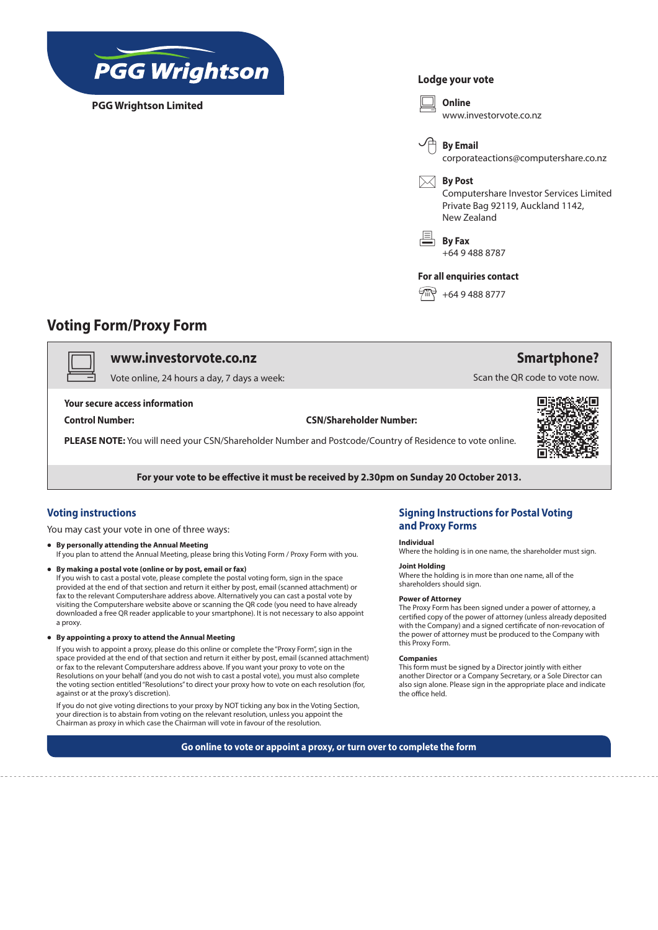

**PGG Wrightson Limited**

## **Lodge your vote**



# **Voting Form/Proxy Form**

# v **www.investorvote.co.nz**

Vote online, 24 hours a day, 7 days a week:

### **Your secure access information**

#### **Control Number: CSN/Shareholder Number:**

**PLEASE NOTE:** You will need your CSN/Shareholder Number and Postcode/Country of Residence to vote online.



**Smartphone?**

Scan the QR code to vote now.

**For your vote to be effective it must be received by 2.30pm on Sunday 20 October 2013.**

# **Voting instructions**

You may cast your vote in one of three ways:

- **By personally attending the Annual Meeting** If you plan to attend the Annual Meeting, please bring this Voting Form / Proxy Form with you.
- By making a postal vote (online or by post, email or fax) If you wish to cast a postal vote, please complete the postal voting form, sign in the space provided at the end of that section and return it either by post, email (scanned attachment) or fax to the relevant Computershare address above. Alternatively you can cast a postal vote by visiting the Computershare website above or scanning the QR code (you need to have already downloaded a free QR reader applicable to your smartphone). It is not necessary to also appoint a proxy.
- **• By appointing a proxy to attend the Annual Meeting**

If you wish to appoint a proxy, please do this online or complete the "Proxy Form", sign in the space provided at the end of that section and return it either by post, email (scanned attachment) or fax to the relevant Computershare address above. If you want your proxy to vote on the Resolutions on your behalf (and you do not wish to cast a postal vote), you must also complete the voting section entitled "Resolutions" to direct your proxy how to vote on each resolution (for, against or at the proxy's discretion).

If you do not give voting directions to your proxy by NOT ticking any box in the Voting Section, your direction is to abstain from voting on the relevant resolution, unless you appoint the Chairman as proxy in which case the Chairman will vote in favour of the resolution.

# **Signing Instructions for Postal Voting and Proxy Forms**

### **Individual**

Where the holding is in one name, the shareholder must sign.

## **Joint Holding**

Where the holding is in more than one name, all of the shareholders should sign.

#### **Power of Attorney**

The Proxy Form has been signed under a power of attorney, a certified copy of the power of attorney (unless already deposited with the Company) and a signed certificate of non-revocation of the power of attorney must be produced to the Company with this Proxy Form.

#### **Companies**

This form must be signed by a Director jointly with either another Director or a Company Secretary, or a Sole Director can also sign alone. Please sign in the appropriate place and indicate the office held.

**Go online to vote or appoint a proxy, or turn over to complete the form**